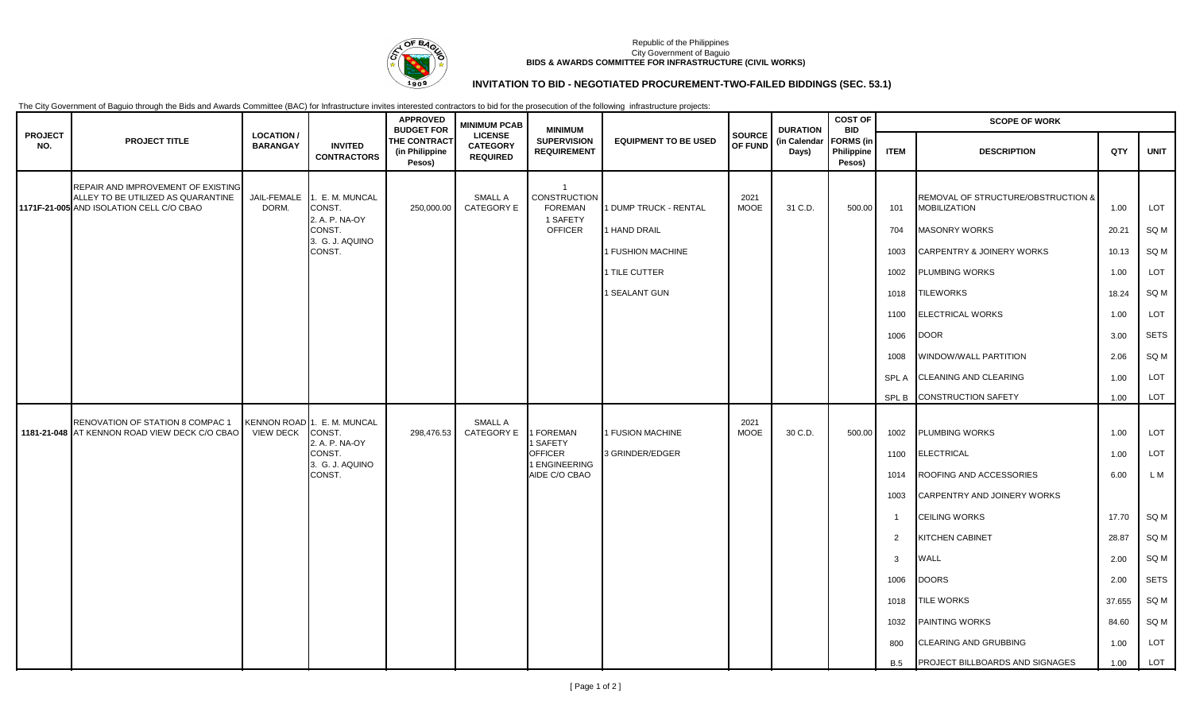

### Republic of the Philippines City Government of Baguio **BIDS & AWARDS COMMITTEE FOR INFRASTRUCTURE (CIVIL WORKS)**

# **INVITATION TO BID - NEGOTIATED PROCUREMENT-TWO-FAILED BIDDINGS (SEC. 53.1)**

The City Government of Baguio through the Bids and Awards Committee (BAC) for Infrastructure invites interested contractors to bid for the prosecution of the following infrastructure projects:

| <b>PROJECT</b><br>NO. | <b>PROJECT TITLE</b>                                                                                                 | <b>LOCATION/</b><br><b>BARANGAY</b> | <b>INVITED</b><br><b>CONTRACTORS</b>                                                           | <b>APPROVED</b><br><b>BUDGET FOR</b><br>THE CONTRACT<br>(in Philippine<br>Pesos) | <b>MINIMUM PCAB</b><br><b>LICENSE</b><br><b>CATEGORY</b><br><b>REQUIRED</b> | <b>MINIMUM</b><br><b>SUPERVISION</b><br><b>REQUIREMENT</b>                     | <b>EQUIPMENT TO BE USED</b>                                                                  | SOURCE<br>OF FUND   | <b>DURATION</b><br>(in Calendar<br>Days) | <b>COST OF</b><br><b>BID</b><br><b>FORMS</b> (in<br>Philippine<br>Pesos) | <b>SCOPE OF WORK</b>                                                                |                                                                                                                                                                                                                                                                                          |                                                                                           |                                                                                 |
|-----------------------|----------------------------------------------------------------------------------------------------------------------|-------------------------------------|------------------------------------------------------------------------------------------------|----------------------------------------------------------------------------------|-----------------------------------------------------------------------------|--------------------------------------------------------------------------------|----------------------------------------------------------------------------------------------|---------------------|------------------------------------------|--------------------------------------------------------------------------|-------------------------------------------------------------------------------------|------------------------------------------------------------------------------------------------------------------------------------------------------------------------------------------------------------------------------------------------------------------------------------------|-------------------------------------------------------------------------------------------|---------------------------------------------------------------------------------|
|                       |                                                                                                                      |                                     |                                                                                                |                                                                                  |                                                                             |                                                                                |                                                                                              |                     |                                          |                                                                          | <b>ITEM</b>                                                                         | <b>DESCRIPTION</b>                                                                                                                                                                                                                                                                       | QTY                                                                                       | <b>UNIT</b>                                                                     |
|                       | REPAIR AND IMPROVEMENT OF EXISTING<br>ALLEY TO BE UTILIZED AS QUARANTINE<br>1171F-21-005 AND ISOLATION CELL C/O CBAO | JAIL-FEMALE<br>DORM.                | 1. E. M. MUNCAL<br>CONST.<br>2. A. P. NA-OY<br>CONST.<br>3. G. J. AQUINO<br>CONST.             | 250,000.00                                                                       | <b>SMALL A</b><br>CATEGORY E                                                | $\overline{1}$<br>CONSTRUCTION<br><b>FOREMAN</b><br>1 SAFETY<br><b>OFFICER</b> | 1 DUMP TRUCK - RENTAL<br>1 HAND DRAIL<br>1 FUSHION MACHINE<br>1 TILE CUTTER<br>1 SEALANT GUN | 2021<br><b>MOOE</b> | 31 C.D.                                  | 500.00                                                                   | 101<br>704<br>1003<br>1002<br>1018<br>1100<br>1006<br>1008                          | REMOVAL OF STRUCTURE/OBSTRUCTION &<br><b>MOBILIZATION</b><br><b>MASONRY WORKS</b><br><b>CARPENTRY &amp; JOINERY WORKS</b><br>PLUMBING WORKS<br><b>TILEWORKS</b><br><b>ELECTRICAL WORKS</b><br><b>DOOR</b><br><b>WINDOW/WALL PARTITION</b>                                                | 1.00<br>20.21<br>10.13<br>1.00<br>18.24<br>1.00<br>3.00<br>2.06                           | LOT<br>SQ M<br>SQ M<br>LOT<br>SQ M<br>LOT<br><b>SETS</b><br>SQ M                |
|                       |                                                                                                                      |                                     |                                                                                                |                                                                                  |                                                                             |                                                                                |                                                                                              |                     |                                          |                                                                          | <b>SPLA</b><br>SPL B                                                                | <b>CLEANING AND CLEARING</b><br><b>CONSTRUCTION SAFETY</b>                                                                                                                                                                                                                               | 1.00<br>1.00                                                                              | LOT<br>LOT                                                                      |
|                       | RENOVATION OF STATION 8 COMPAC 1<br>1181-21-048 AT KENNON ROAD VIEW DECK C/O CBAO                                    | <b>VIEW DECK</b>                    | KENNON ROAD 1. E. M. MUNCAL<br>CONST.<br>2. A. P. NA-OY<br>CONST.<br>3. G. J. AQUINO<br>CONST. | 298,476.53                                                                       | <b>SMALL A</b><br>CATEGORY E                                                | <b>FOREMAN</b><br>SAFETY<br><b>OFFICER</b><br>1 ENGINEERING<br>AIDE C/O CBAO   | 1 FUSION MACHINE<br>3 GRINDER/EDGER                                                          | 2021<br><b>MOOE</b> | 30 C.D.                                  | 500.00                                                                   | 1002<br>1100<br>1014<br>1003<br>2<br>3<br>1006<br>1018<br>1032<br>800<br><b>B.5</b> | <b>PLUMBING WORKS</b><br><b>ELECTRICAL</b><br>ROOFING AND ACCESSORIES<br>CARPENTRY AND JOINERY WORKS<br><b>CEILING WORKS</b><br>KITCHEN CABINET<br>WALL<br><b>DOORS</b><br><b>TILE WORKS</b><br><b>PAINTING WORKS</b><br>CLEARING AND GRUBBING<br><b>PROJECT BILLBOARDS AND SIGNAGES</b> | 1.00<br>1.00<br>6.00<br>17.70<br>28.87<br>2.00<br>2.00<br>37.655<br>84.60<br>1.00<br>1.00 | LOT<br>LOT<br>L M<br>SQ M<br>SQ M<br>SQ M<br>SETS<br>SQ M<br>SQ M<br>LOT<br>LOT |